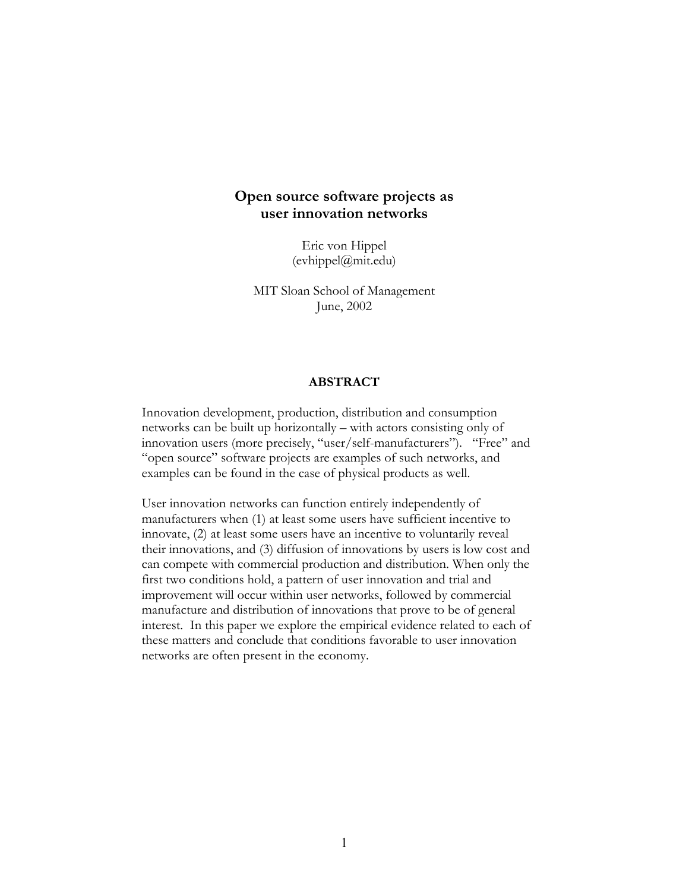# **Open source software projects as user innovation networks**

Eric von Hippel (evhippel@mit.edu)

MIT Sloan School of Management June, 2002

# **ABSTRACT**

Innovation development, production, distribution and consumption networks can be built up horizontally – with actors consisting only of innovation users (more precisely, "user/self-manufacturers"). "Free" and "open source" software projects are examples of such networks, and examples can be found in the case of physical products as well.

User innovation networks can function entirely independently of manufacturers when (1) at least some users have sufficient incentive to innovate, (2) at least some users have an incentive to voluntarily reveal their innovations, and (3) diffusion of innovations by users is low cost and can compete with commercial production and distribution. When only the first two conditions hold, a pattern of user innovation and trial and improvement will occur within user networks, followed by commercial manufacture and distribution of innovations that prove to be of general interest. In this paper we explore the empirical evidence related to each of these matters and conclude that conditions favorable to user innovation networks are often present in the economy.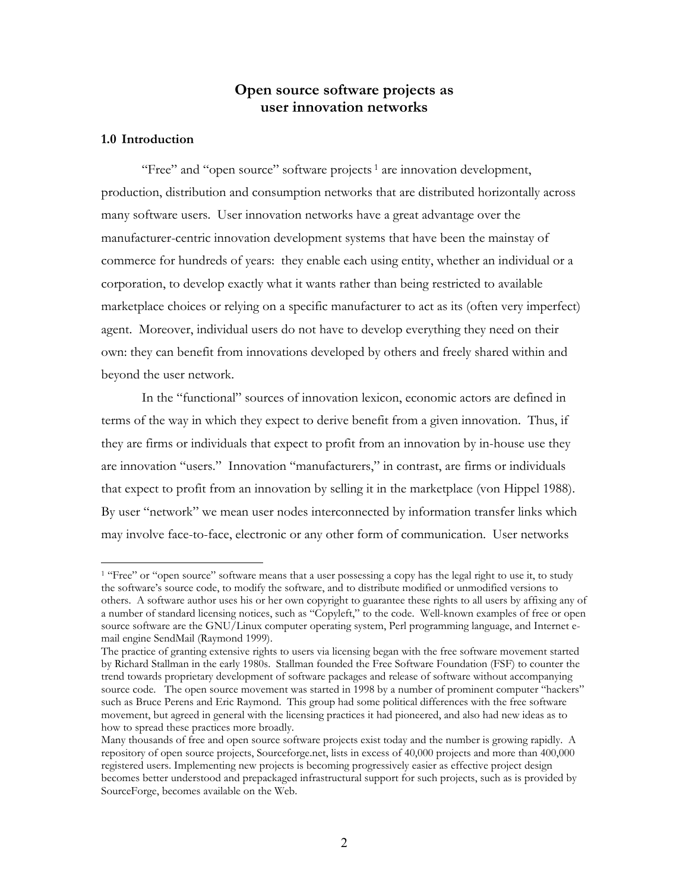# **Open source software projects as user innovation networks**

## **1.0 Introduction**

 $\overline{a}$ 

"Free" and "open source" software projects<sup>1</sup> are innovation development, production, distribution and consumption networks that are distributed horizontally across many software users. User innovation networks have a great advantage over the manufacturer-centric innovation development systems that have been the mainstay of commerce for hundreds of years: they enable each using entity, whether an individual or a corporation, to develop exactly what it wants rather than being restricted to available marketplace choices or relying on a specific manufacturer to act as its (often very imperfect) agent. Moreover, individual users do not have to develop everything they need on their own: they can benefit from innovations developed by others and freely shared within and beyond the user network.

In the "functional" sources of innovation lexicon, economic actors are defined in terms of the way in which they expect to derive benefit from a given innovation. Thus, if they are firms or individuals that expect to profit from an innovation by in-house use they are innovation "users." Innovation "manufacturers," in contrast, are firms or individuals that expect to profit from an innovation by selling it in the marketplace (von Hippel 1988). By user "network" we mean user nodes interconnected by information transfer links which may involve face-to-face, electronic or any other form of communication. User networks

<span id="page-1-0"></span><sup>&</sup>lt;sup>1</sup> "Free" or "open source" software means that a user possessing a copy has the legal right to use it, to study the software's source code, to modify the software, and to distribute modified or unmodified versions to others. A software author uses his or her own copyright to guarantee these rights to all users by affixing any of a number of standard licensing notices, such as "Copyleft," to the code. Well-known examples of free or open source software are the GNU/Linux computer operating system, Perl programming language, and Internet email engine SendMail (Raymond 1999).

The practice of granting extensive rights to users via licensing began with the free software movement started by Richard Stallman in the early 1980s. Stallman founded the Free Software Foundation (FSF) to counter the trend towards proprietary development of software packages and release of software without accompanying source code. The open source movement was started in 1998 by a number of prominent computer "hackers" such as Bruce Perens and Eric Raymond. This group had some political differences with the free software movement, but agreed in general with the licensing practices it had pioneered, and also had new ideas as to how to spread these practices more broadly.

Many thousands of free and open source software projects exist today and the number is growing rapidly. A repository of open source projects, Sourceforge.net, lists in excess of 40,000 projects and more than 400,000 registered users. Implementing new projects is becoming progressively easier as effective project design becomes better understood and prepackaged infrastructural support for such projects, such as is provided by SourceForge, becomes available on the Web.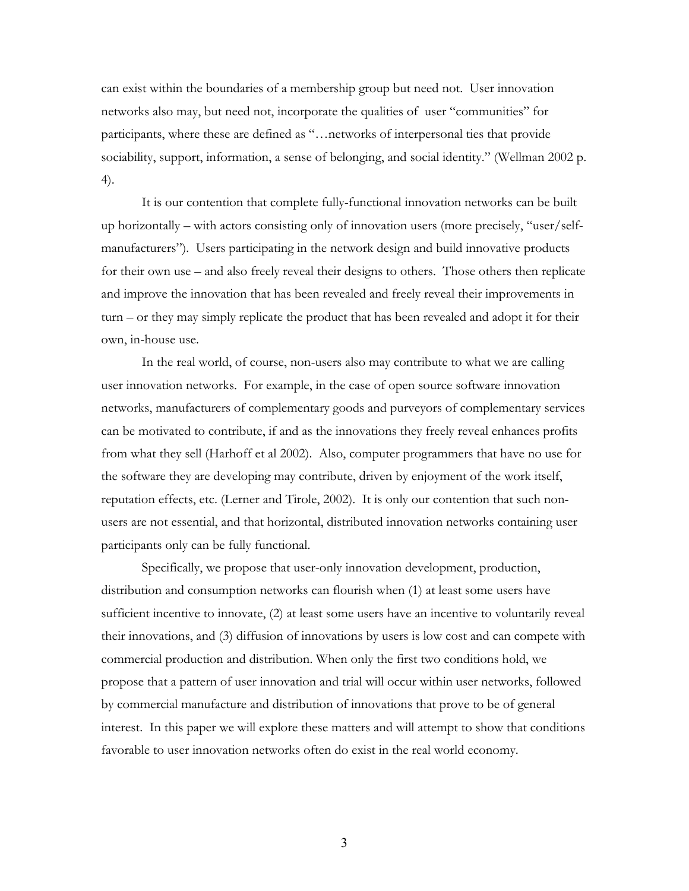can exist within the boundaries of a membership group but need not. User innovation networks also may, but need not, incorporate the qualities of user "communities" for participants, where these are defined as "…networks of interpersonal ties that provide sociability, support, information, a sense of belonging, and social identity." (Wellman 2002 p. 4).

It is our contention that complete fully-functional innovation networks can be built up horizontally – with actors consisting only of innovation users (more precisely, "user/selfmanufacturers"). Users participating in the network design and build innovative products for their own use – and also freely reveal their designs to others. Those others then replicate and improve the innovation that has been revealed and freely reveal their improvements in turn – or they may simply replicate the product that has been revealed and adopt it for their own, in-house use.

In the real world, of course, non-users also may contribute to what we are calling user innovation networks. For example, in the case of open source software innovation networks, manufacturers of complementary goods and purveyors of complementary services can be motivated to contribute, if and as the innovations they freely reveal enhances profits from what they sell (Harhoff et al 2002). Also, computer programmers that have no use for the software they are developing may contribute, driven by enjoyment of the work itself, reputation effects, etc. (Lerner and Tirole, 2002). It is only our contention that such nonusers are not essential, and that horizontal, distributed innovation networks containing user participants only can be fully functional.

Specifically, we propose that user-only innovation development, production, distribution and consumption networks can flourish when (1) at least some users have sufficient incentive to innovate, (2) at least some users have an incentive to voluntarily reveal their innovations, and (3) diffusion of innovations by users is low cost and can compete with commercial production and distribution. When only the first two conditions hold, we propose that a pattern of user innovation and trial will occur within user networks, followed by commercial manufacture and distribution of innovations that prove to be of general interest. In this paper we will explore these matters and will attempt to show that conditions favorable to user innovation networks often do exist in the real world economy.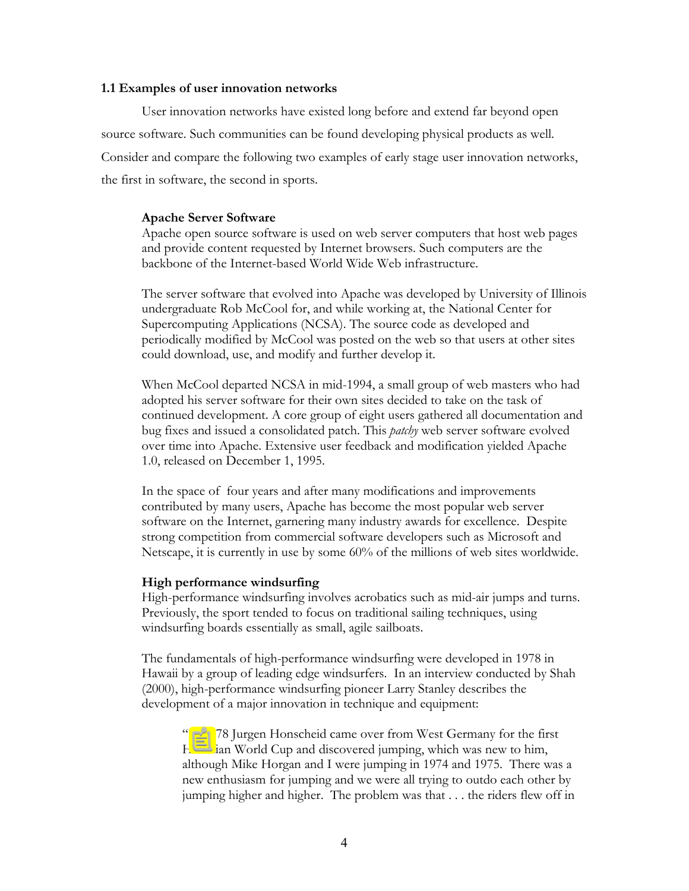## **1.1 Examples of user innovation networks**

User innovation networks have existed long before and extend far beyond open source software. Such communities can be found developing physical products as well. Consider and compare the following two examples of early stage user innovation networks, the first in software, the second in sports.

## **Apache Server Software**

Apache open source software is used on web server computers that host web pages and provide content requested by Internet browsers. Such computers are the backbone of the Internet-based World Wide Web infrastructure.

The server software that evolved into Apache was developed by University of Illinois undergraduate Rob McCool for, and while working at, the National Center for Supercomputing Applications (NCSA). The source code as developed and periodically modified by McCool was posted on the web so that users at other sites could download, use, and modify and further develop it.

When McCool departed NCSA in mid-1994, a small group of web masters who had adopted his server software for their own sites decided to take on the task of continued development. A core group of eight users gathered all documentation and bug fixes and issued a consolidated patch. This *patchy* web server software evolved over time into Apache. Extensive user feedback and modification yielded Apache 1.0, released on December 1, 1995.

In the space of four years and after many modifications and improvements contributed by many users, Apache has become the most popular web server software on the Internet, garnering many industry awards for excellence. Despite strong competition from commercial software developers such as Microsoft and Netscape, it is currently in use by some 60% of the millions of web sites worldwide.

## **High performance windsurfing**

High-performance windsurfing involves acrobatics such as mid-air jumps and turns. Previously, the sport tended to focus on traditional sailing techniques, using windsurfing boards essentially as small, agile sailboats.

The fundamentals of high-performance windsurfing were developed in 1978 in Hawaii by a group of leading edge windsurfers. In an interview conducted by Shah (2000), high-performance windsurfing pioneer Larry Stanley describes the development of a major innovation in technique and equipment:

"In 1978 Jurgen Honscheid came over from West Germany for the first Hawaiian World Cup and discovered jumping, which was new to him, although Mike Horgan and I were jumping in 1974 and 1975. There was a new enthusiasm for jumping and we were all trying to outdo each other by jumping higher and higher. The problem was that . . . the riders flew off in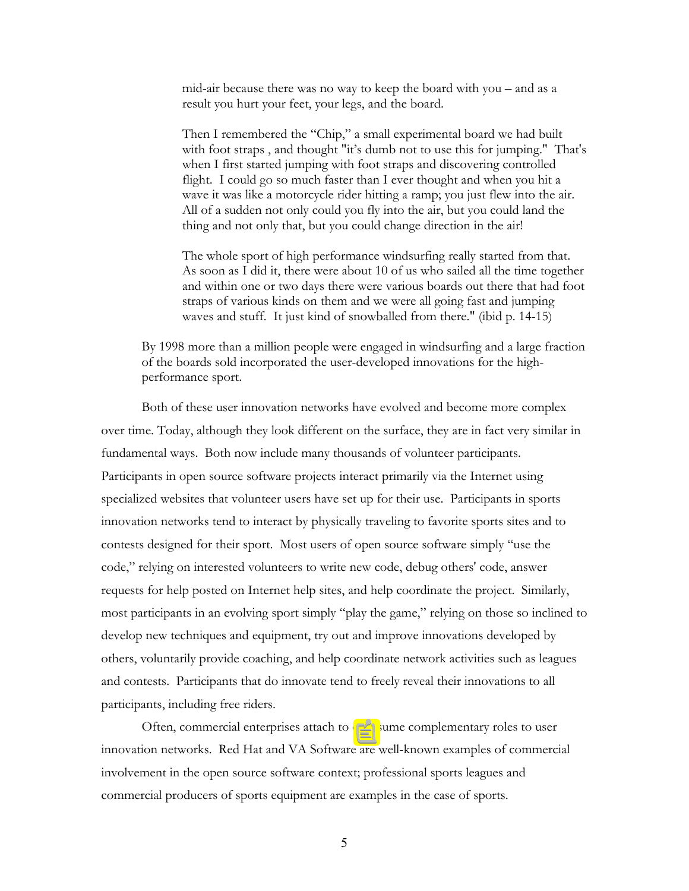mid-air because there was no way to keep the board with you – and as a result you hurt your feet, your legs, and the board.

Then I remembered the "Chip," a small experimental board we had built with foot straps, and thought "it's dumb not to use this for jumping." That's when I first started jumping with foot straps and discovering controlled flight. I could go so much faster than I ever thought and when you hit a wave it was like a motorcycle rider hitting a ramp; you just flew into the air. All of a sudden not only could you fly into the air, but you could land the thing and not only that, but you could change direction in the air!

The whole sport of high performance windsurfing really started from that. As soon as I did it, there were about 10 of us who sailed all the time together and within one or two days there were various boards out there that had foot straps of various kinds on them and we were all going fast and jumping waves and stuff. It just kind of snowballed from there." (ibid p. 14-15)

By 1998 more than a million people were engaged in windsurfing and a large fraction of the boards sold incorporated the user-developed innovations for the highperformance sport.

Both of these user innovation networks have evolved and become more complex over time. Today, although they look different on the surface, they are in fact very similar in fundamental ways. Both now include many thousands of volunteer participants. Participants in open source software projects interact primarily via the Internet using specialized websites that volunteer users have set up for their use. Participants in sports innovation networks tend to interact by physically traveling to favorite sports sites and to contests designed for their sport. Most users of open source software simply "use the code," relying on interested volunteers to write new code, debug others' code, answer requests for help posted on Internet help sites, and help coordinate the project. Similarly, most participants in an evolving sport simply "play the game," relying on those so inclined to develop new techniques and equipment, try out and improve innovations developed by others, voluntarily provide coaching, and help coordinate network activities such as leagues and contests. Participants that do innovate tend to freely reveal their innovations to all participants, including free riders.

Often, commercial enterprises attach to or assume complementary roles to user innovation networks. Red Hat and VA Software are well-known examples of commercial involvement in the open source software context; professional sports leagues and commercial producers of sports equipment are examples in the case of sports.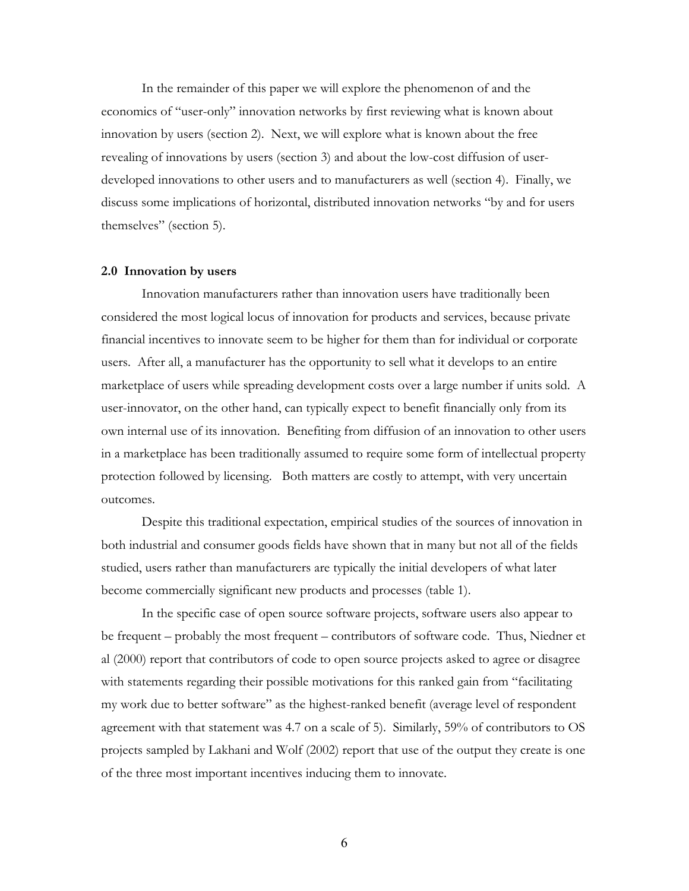In the remainder of this paper we will explore the phenomenon of and the economics of "user-only" innovation networks by first reviewing what is known about innovation by users (section 2). Next, we will explore what is known about the free revealing of innovations by users (section 3) and about the low-cost diffusion of userdeveloped innovations to other users and to manufacturers as well (section 4). Finally, we discuss some implications of horizontal, distributed innovation networks "by and for users themselves" (section 5).

## **2.0 Innovation by users**

Innovation manufacturers rather than innovation users have traditionally been considered the most logical locus of innovation for products and services, because private financial incentives to innovate seem to be higher for them than for individual or corporate users. After all, a manufacturer has the opportunity to sell what it develops to an entire marketplace of users while spreading development costs over a large number if units sold. A user-innovator, on the other hand, can typically expect to benefit financially only from its own internal use of its innovation. Benefiting from diffusion of an innovation to other users in a marketplace has been traditionally assumed to require some form of intellectual property protection followed by licensing. Both matters are costly to attempt, with very uncertain outcomes.

Despite this traditional expectation, empirical studies of the sources of innovation in both industrial and consumer goods fields have shown that in many but not all of the fields studied, users rather than manufacturers are typically the initial developers of what later become commercially significant new products and processes (table 1).

In the specific case of open source software projects, software users also appear to be frequent – probably the most frequent – contributors of software code. Thus, Niedner et al (2000) report that contributors of code to open source projects asked to agree or disagree with statements regarding their possible motivations for this ranked gain from "facilitating my work due to better software" as the highest-ranked benefit (average level of respondent agreement with that statement was 4.7 on a scale of 5). Similarly, 59% of contributors to OS projects sampled by Lakhani and Wolf (2002) report that use of the output they create is one of the three most important incentives inducing them to innovate.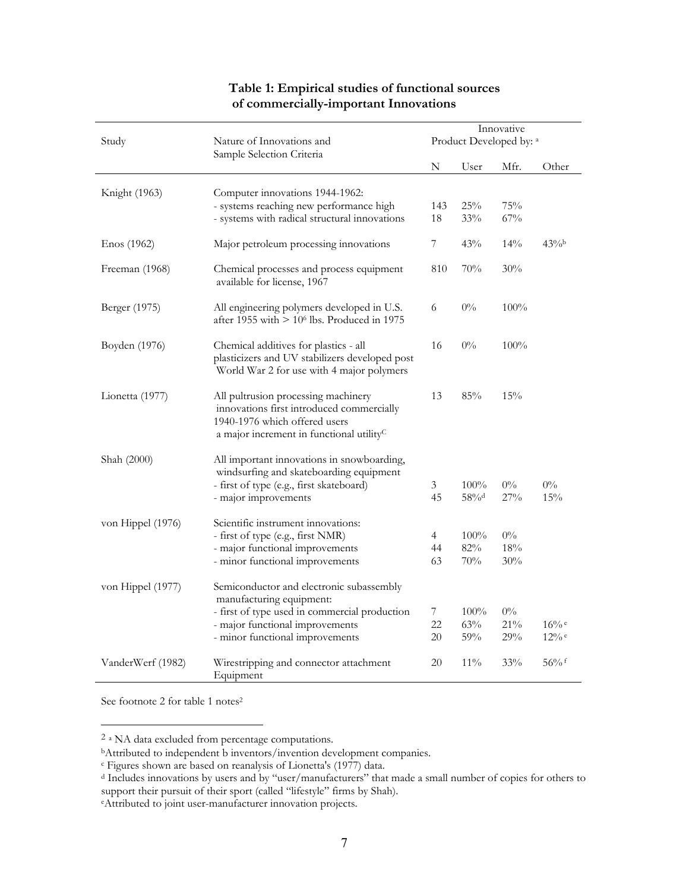<span id="page-6-0"></span>

| Study             | Nature of Innovations and<br>Sample Selection Criteria                                       | Innovative<br>Product Developed by: a |          |         |          |
|-------------------|----------------------------------------------------------------------------------------------|---------------------------------------|----------|---------|----------|
|                   |                                                                                              |                                       |          |         |          |
|                   |                                                                                              | N                                     | User     | Mfr.    | Other    |
| Knight (1963)     | Computer innovations 1944-1962:                                                              |                                       |          |         |          |
|                   | - systems reaching new performance high                                                      | 143                                   | 25%      | 75%     |          |
|                   | - systems with radical structural innovations                                                | 18                                    | 33%      | $67\%$  |          |
|                   |                                                                                              |                                       |          |         |          |
| Enos (1962)       | Major petroleum processing innovations                                                       | 7                                     | 43%      | 14%     | $43\%$   |
| Freeman (1968)    | Chemical processes and process equipment<br>available for license, 1967                      | 810                                   | 70%      | 30%     |          |
| Berger (1975)     | All engineering polymers developed in U.S.<br>after 1955 with $> 10^6$ lbs. Produced in 1975 | 6                                     | $0\%$    | $100\%$ |          |
| Boyden (1976)     | Chemical additives for plastics - all                                                        | 16                                    | $0\%$    | 100%    |          |
|                   | plasticizers and UV stabilizers developed post                                               |                                       |          |         |          |
|                   | World War 2 for use with 4 major polymers                                                    |                                       |          |         |          |
|                   |                                                                                              |                                       |          |         |          |
| Lionetta (1977)   | All pultrusion processing machinery                                                          | 13                                    | 85%      | 15%     |          |
|                   | innovations first introduced commercially                                                    |                                       |          |         |          |
|                   | 1940-1976 which offered users                                                                |                                       |          |         |          |
|                   | a major increment in functional utility <sup>C</sup>                                         |                                       |          |         |          |
| Shah (2000)       | All important innovations in snowboarding,                                                   |                                       |          |         |          |
|                   | windsurfing and skateboarding equipment                                                      |                                       |          |         |          |
|                   | - first of type (e.g., first skateboard)                                                     | 3                                     | 100%     | $0\%$   | $0\%$    |
|                   | - major improvements                                                                         | 45                                    | $58\%$ d | 27%     | 15%      |
|                   |                                                                                              |                                       |          |         |          |
| von Hippel (1976) | Scientific instrument innovations:<br>- first of type (e.g., first NMR)                      | 4                                     | 100%     | $0\%$   |          |
|                   | - major functional improvements                                                              | 44                                    | 82%      | 18%     |          |
|                   | - minor functional improvements                                                              | 63                                    | 70%      | 30%     |          |
|                   |                                                                                              |                                       |          |         |          |
| von Hippel (1977) | Semiconductor and electronic subassembly                                                     |                                       |          |         |          |
|                   | manufacturing equipment:                                                                     |                                       |          |         |          |
|                   | - first of type used in commercial production                                                | 7                                     | 100%     | $0\%$   |          |
|                   | - major functional improvements                                                              | 22                                    | 63%      | $21\%$  | $16\%$ e |
|                   | - minor functional improvements                                                              | 20                                    | 59%      | $29\%$  | $12\%$ e |
| VanderWerf (1982) | Wirestripping and connector attachment                                                       | 20                                    | $11\%$   | 33%     | $56\%$ f |
|                   | Equipment                                                                                    |                                       |          |         |          |

# **Table 1: Empirical studies of functional sources of commercially-important Innovations**

See footnote [2](#page-6-0) for table 1 notes<sup>2</sup>

<sup>&</sup>lt;sup>2</sup> a NA data excluded from percentage computations.<br><sup>b</sup>Attributed to independent b inventors/invention development companies. c Figures shown are based on reanalysis of Lionetta's (1977) data.

<sup>&</sup>lt;sup>d</sup> Includes innovations by users and by "user/manufacturers" that made a small number of copies for others to support their pursuit of their sport (called "lifestyle" firms by Shah).

eAttributed to joint user-manufacturer innovation projects.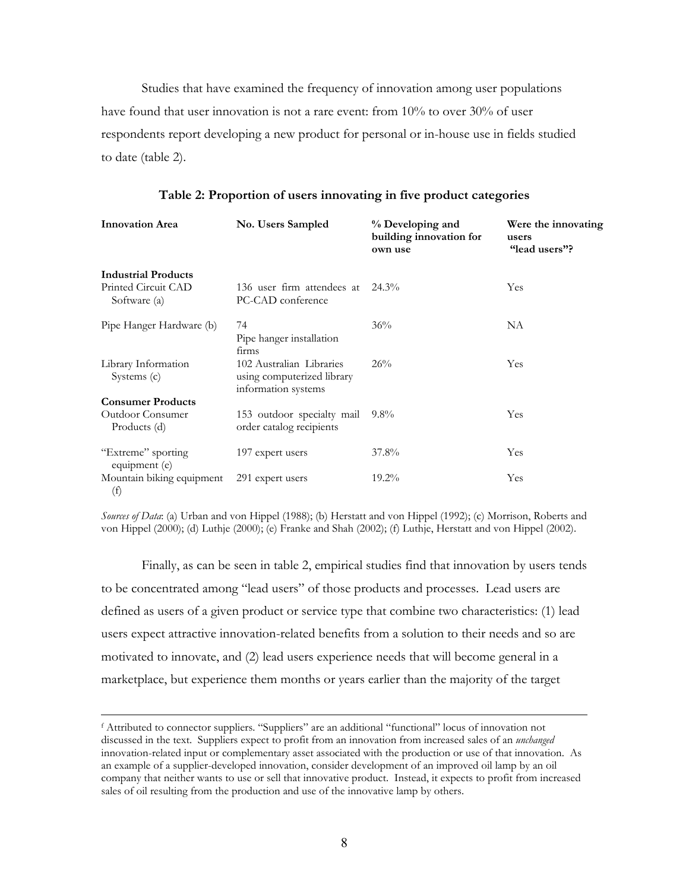Studies that have examined the frequency of innovation among user populations have found that user innovation is not a rare event: from 10% to over 30% of user respondents report developing a new product for personal or in-house use in fields studied to date (table 2).

| <b>Innovation Area</b>               | No. Users Sampled                                                             | % Developing and<br>building innovation for<br>own use | Were the innovating<br>users<br>"lead users"? |
|--------------------------------------|-------------------------------------------------------------------------------|--------------------------------------------------------|-----------------------------------------------|
| <b>Industrial Products</b>           |                                                                               |                                                        |                                               |
| Printed Circuit CAD<br>Software (a)  | 136 user firm attendees at<br>PC-CAD conference                               | 24.3%                                                  | Yes                                           |
| Pipe Hanger Hardware (b)             | 74<br>Pipe hanger installation<br>firms                                       | 36%                                                    | NA                                            |
| Library Information<br>Systems $(c)$ | 102 Australian Libraries<br>using computerized library<br>information systems | 26%                                                    | Yes                                           |
| <b>Consumer Products</b>             |                                                                               |                                                        |                                               |
| Outdoor Consumer<br>Products (d)     | 153 outdoor specialty mail<br>order catalog recipients                        | $9.8\%$                                                | Yes                                           |
| "Extreme" sporting<br>equipment (e)  | 197 expert users                                                              | 37.8%                                                  | Yes                                           |
| Mountain biking equipment<br>(f)     | 291 expert users                                                              | $19.2\%$                                               | Yes                                           |

# **Table 2: Proportion of users innovating in five product categories**

*Sources of Data*: (a) Urban and von Hippel (1988); (b) Herstatt and von Hippel (1992); (c) Morrison, Roberts and von Hippel (2000); (d) Luthje (2000); (e) Franke and Shah (2002); (f) Luthje, Herstatt and von Hippel (2002).

Finally, as can be seen in table 2, empirical studies find that innovation by users tends to be concentrated among "lead users" of those products and processes. Lead users are defined as users of a given product or service type that combine two characteristics: (1) lead users expect attractive innovation-related benefits from a solution to their needs and so are motivated to innovate, and (2) lead users experience needs that will become general in a marketplace, but experience them months or years earlier than the majority of the target

f Attributed to connector suppliers. "Suppliers" are an additional "functional" locus of innovation not discussed in the text. Suppliers expect to profit from an innovation from increased sales of an *unchanged* innovation-related input or complementary asset associated with the production or use of that innovation. As an example of a supplier-developed innovation, consider development of an improved oil lamp by an oil company that neither wants to use or sell that innovative product. Instead, it expects to profit from increased sales of oil resulting from the production and use of the innovative lamp by others.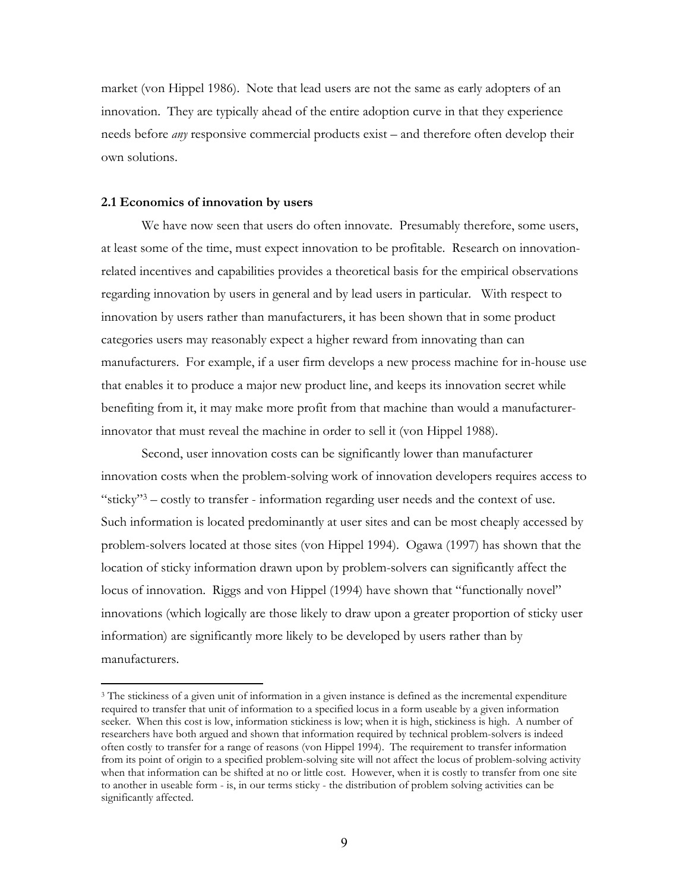market (von Hippel 1986). Note that lead users are not the same as early adopters of an innovation. They are typically ahead of the entire adoption curve in that they experience needs before *any* responsive commercial products exist – and therefore often develop their own solutions.

#### **2.1 Economics of innovation by users**

 $\overline{a}$ 

We have now seen that users do often innovate. Presumably therefore, some users, at least some of the time, must expect innovation to be profitable. Research on innovationrelated incentives and capabilities provides a theoretical basis for the empirical observations regarding innovation by users in general and by lead users in particular. With respect to innovation by users rather than manufacturers, it has been shown that in some product categories users may reasonably expect a higher reward from innovating than can manufacturers. For example, if a user firm develops a new process machine for in-house use that enables it to produce a major new product line, and keeps its innovation secret while benefiting from it, it may make more profit from that machine than would a manufacturerinnovator that must reveal the machine in order to sell it (von Hippel 1988).

Second, user innovation costs can be significantly lower than manufacturer innovation costs when the problem-solving work of innovation developers requires access to "sticky"[3 –](#page-8-0) costly to transfer - information regarding user needs and the context of use. Such information is located predominantly at user sites and can be most cheaply accessed by problem-solvers located at those sites (von Hippel 1994). Ogawa (1997) has shown that the location of sticky information drawn upon by problem-solvers can significantly affect the locus of innovation. Riggs and von Hippel (1994) have shown that "functionally novel" innovations (which logically are those likely to draw upon a greater proportion of sticky user information) are significantly more likely to be developed by users rather than by manufacturers.

<span id="page-8-0"></span><sup>3</sup> The stickiness of a given unit of information in a given instance is defined as the incremental expenditure required to transfer that unit of information to a specified locus in a form useable by a given information seeker. When this cost is low, information stickiness is low; when it is high, stickiness is high. A number of researchers have both argued and shown that information required by technical problem-solvers is indeed often costly to transfer for a range of reasons (von Hippel 1994). The requirement to transfer information from its point of origin to a specified problem-solving site will not affect the locus of problem-solving activity when that information can be shifted at no or little cost. However, when it is costly to transfer from one site to another in useable form - is, in our terms sticky - the distribution of problem solving activities can be significantly affected.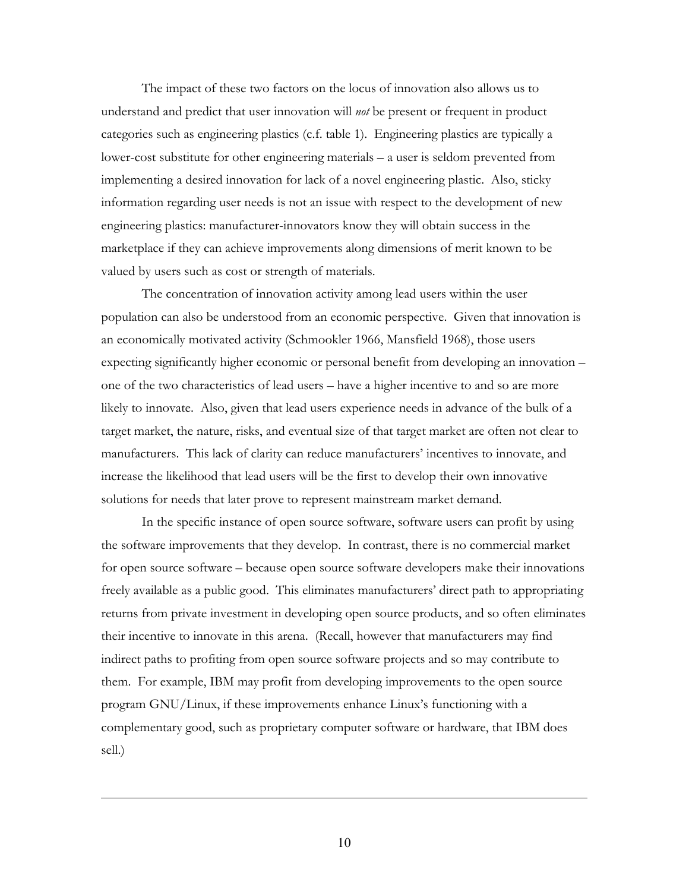The impact of these two factors on the locus of innovation also allows us to understand and predict that user innovation will *not* be present or frequent in product categories such as engineering plastics (c.f. table 1). Engineering plastics are typically a lower-cost substitute for other engineering materials – a user is seldom prevented from implementing a desired innovation for lack of a novel engineering plastic. Also, sticky information regarding user needs is not an issue with respect to the development of new engineering plastics: manufacturer-innovators know they will obtain success in the marketplace if they can achieve improvements along dimensions of merit known to be valued by users such as cost or strength of materials.

The concentration of innovation activity among lead users within the user population can also be understood from an economic perspective. Given that innovation is an economically motivated activity (Schmookler 1966, Mansfield 1968), those users expecting significantly higher economic or personal benefit from developing an innovation – one of the two characteristics of lead users – have a higher incentive to and so are more likely to innovate. Also, given that lead users experience needs in advance of the bulk of a target market, the nature, risks, and eventual size of that target market are often not clear to manufacturers. This lack of clarity can reduce manufacturers' incentives to innovate, and increase the likelihood that lead users will be the first to develop their own innovative solutions for needs that later prove to represent mainstream market demand.

In the specific instance of open source software, software users can profit by using the software improvements that they develop. In contrast, there is no commercial market for open source software – because open source software developers make their innovations freely available as a public good. This eliminates manufacturers' direct path to appropriating returns from private investment in developing open source products, and so often eliminates their incentive to innovate in this arena. (Recall, however that manufacturers may find indirect paths to profiting from open source software projects and so may contribute to them. For example, IBM may profit from developing improvements to the open source program GNU/Linux, if these improvements enhance Linux's functioning with a complementary good, such as proprietary computer software or hardware, that IBM does sell.)

10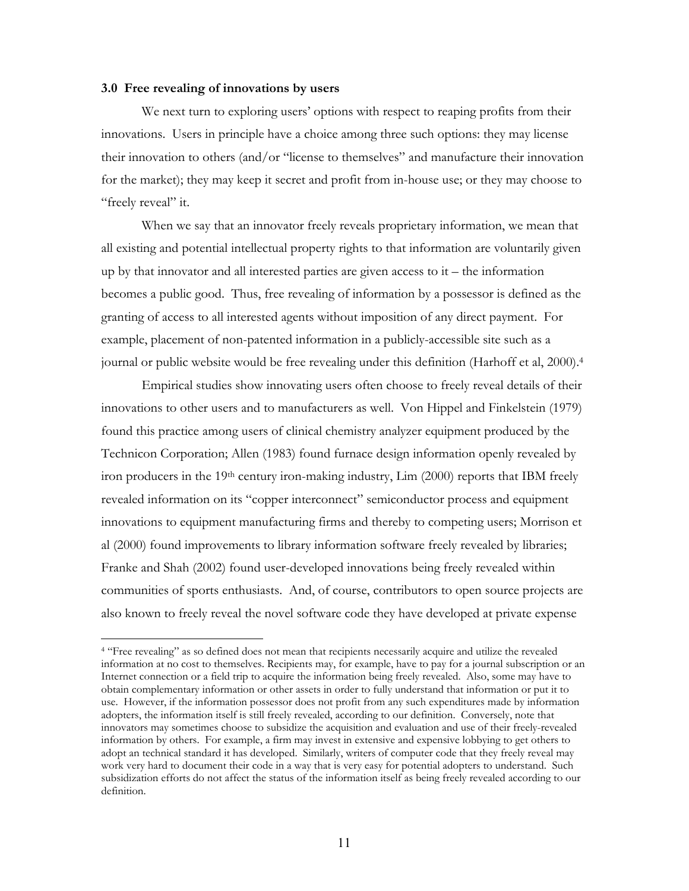### **3.0 Free revealing of innovations by users**

 $\overline{a}$ 

We next turn to exploring users' options with respect to reaping profits from their innovations. Users in principle have a choice among three such options: they may license their innovation to others (and/or "license to themselves" and manufacture their innovation for the market); they may keep it secret and profit from in-house use; or they may choose to "freely reveal" it.

When we say that an innovator freely reveals proprietary information, we mean that all existing and potential intellectual property rights to that information are voluntarily given up by that innovator and all interested parties are given access to it – the information becomes a public good. Thus, free revealing of information by a possessor is defined as the granting of access to all interested agents without imposition of any direct payment. For example, placement of non-patented information in a publicly-accessible site such as a journal or public website would be free revealing under this definition (Harhoff et al, 2000).[4](#page-10-0)

Empirical studies show innovating users often choose to freely reveal details of their innovations to other users and to manufacturers as well. Von Hippel and Finkelstein (1979) found this practice among users of clinical chemistry analyzer equipment produced by the Technicon Corporation; Allen (1983) found furnace design information openly revealed by iron producers in the 19<sup>th</sup> century iron-making industry, Lim (2000) reports that IBM freely revealed information on its "copper interconnect" semiconductor process and equipment innovations to equipment manufacturing firms and thereby to competing users; Morrison et al (2000) found improvements to library information software freely revealed by libraries; Franke and Shah (2002) found user-developed innovations being freely revealed within communities of sports enthusiasts. And, of course, contributors to open source projects are also known to freely reveal the novel software code they have developed at private expense

<span id="page-10-0"></span><sup>4 &</sup>quot;Free revealing" as so defined does not mean that recipients necessarily acquire and utilize the revealed information at no cost to themselves. Recipients may, for example, have to pay for a journal subscription or an Internet connection or a field trip to acquire the information being freely revealed. Also, some may have to obtain complementary information or other assets in order to fully understand that information or put it to use. However, if the information possessor does not profit from any such expenditures made by information adopters, the information itself is still freely revealed, according to our definition. Conversely, note that innovators may sometimes choose to subsidize the acquisition and evaluation and use of their freely-revealed information by others. For example, a firm may invest in extensive and expensive lobbying to get others to adopt an technical standard it has developed. Similarly, writers of computer code that they freely reveal may work very hard to document their code in a way that is very easy for potential adopters to understand. Such subsidization efforts do not affect the status of the information itself as being freely revealed according to our definition.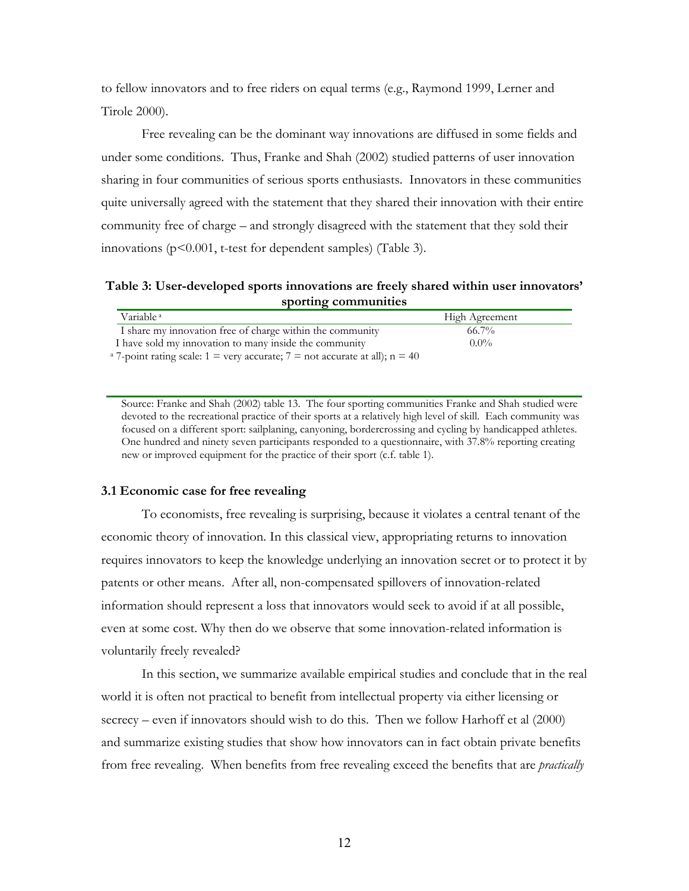to fellow innovators and to free riders on equal terms (e.g., Raymond 1999, Lerner and Tirole 2000).

Free revealing can be the dominant way innovations are diffused in some fields and under some conditions. Thus, Franke and Shah (2002) studied patterns of user innovation sharing in four communities of serious sports enthusiasts. Innovators in these communities quite universally agreed with the statement that they shared their innovation with their entire community free of charge – and strongly disagreed with the statement that they sold their innovations (p<0.001, t-test for dependent samples) (Table 3).

**Table 3: User-developed sports innovations are freely shared within user innovators' sporting communities**

| Variable <sup>a</sup>                                                                                       | High Agreement |
|-------------------------------------------------------------------------------------------------------------|----------------|
| I share my innovation free of charge within the community                                                   | $66.7\%$       |
| I have sold my innovation to many inside the community                                                      | $0.0\%$        |
| <sup>a</sup> 7-point rating scale: $1 = \text{very accurate}$ ; $7 = \text{not accurate at all}$ ; $n = 40$ |                |

Source: Franke and Shah (2002) table 13. The four sporting communities Franke and Shah studied were devoted to the recreational practice of their sports at a relatively high level of skill. Each community was focused on a different sport: sailplaning, canyoning, bordercrossing and cycling by handicapped athletes. One hundred and ninety seven participants responded to a questionnaire, with 37.8% reporting creating new or improved equipment for the practice of their sport (c.f. table 1).

### **3.1 Economic case for free revealing**

To economists, free revealing is surprising, because it violates a central tenant of the economic theory of innovation. In this classical view, appropriating returns to innovation requires innovators to keep the knowledge underlying an innovation secret or to protect it by patents or other means. After all, non-compensated spillovers of innovation-related information should represent a loss that innovators would seek to avoid if at all possible, even at some cost. Why then do we observe that some innovation-related information is voluntarily freely revealed?

In this section, we summarize available empirical studies and conclude that in the real world it is often not practical to benefit from intellectual property via either licensing or secrecy – even if innovators should wish to do this. Then we follow Harhoff et al (2000) and summarize existing studies that show how innovators can in fact obtain private benefits from free revealing. When benefits from free revealing exceed the benefits that are *practically*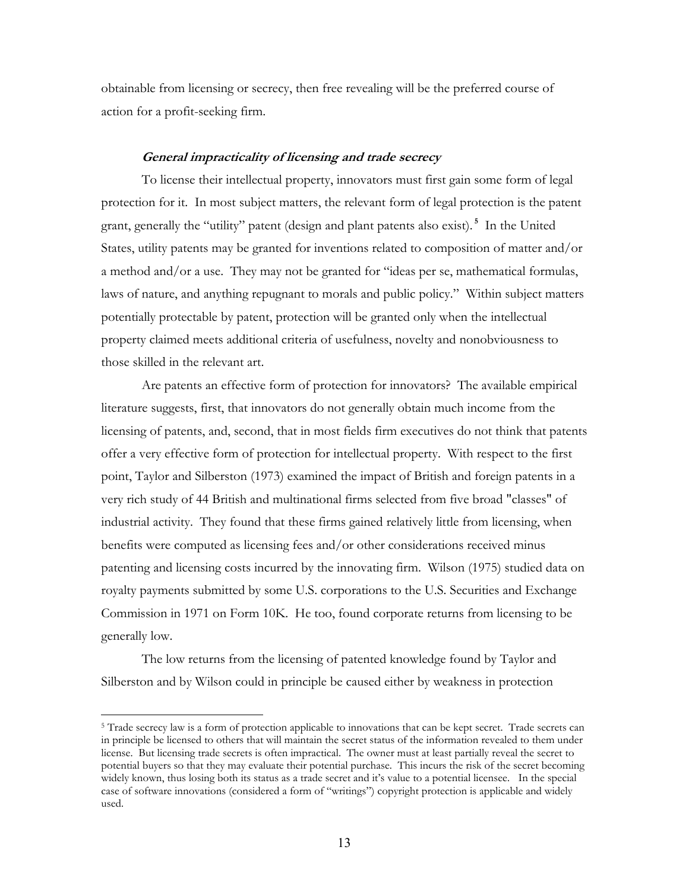obtainable from licensing or secrecy, then free revealing will be the preferred course of action for a profit-seeking firm.

## **General impracticality of licensing and trade secrecy**

To license their intellectual property, innovators must first gain some form of legal protection for it. In most subject matters, the relevant form of legal protection is the patent grant, generally the "utility" patent (design and plant patents also exist). **[5](#page-12-0)** In the United States, utility patents may be granted for inventions related to composition of matter and/or a method and/or a use. They may not be granted for "ideas per se, mathematical formulas, laws of nature, and anything repugnant to morals and public policy." Within subject matters potentially protectable by patent, protection will be granted only when the intellectual property claimed meets additional criteria of usefulness, novelty and nonobviousness to those skilled in the relevant art.

Are patents an effective form of protection for innovators? The available empirical literature suggests, first, that innovators do not generally obtain much income from the licensing of patents, and, second, that in most fields firm executives do not think that patents offer a very effective form of protection for intellectual property. With respect to the first point, Taylor and Silberston (1973) examined the impact of British and foreign patents in a very rich study of 44 British and multinational firms selected from five broad "classes" of industrial activity. They found that these firms gained relatively little from licensing, when benefits were computed as licensing fees and/or other considerations received minus patenting and licensing costs incurred by the innovating firm. Wilson (1975) studied data on royalty payments submitted by some U.S. corporations to the U.S. Securities and Exchange Commission in 1971 on Form 10K. He too, found corporate returns from licensing to be generally low.

The low returns from the licensing of patented knowledge found by Taylor and Silberston and by Wilson could in principle be caused either by weakness in protection

<span id="page-12-0"></span><sup>5</sup> Trade secrecy law is a form of protection applicable to innovations that can be kept secret. Trade secrets can in principle be licensed to others that will maintain the secret status of the information revealed to them under license. But licensing trade secrets is often impractical. The owner must at least partially reveal the secret to potential buyers so that they may evaluate their potential purchase. This incurs the risk of the secret becoming widely known, thus losing both its status as a trade secret and it's value to a potential licensee. In the special case of software innovations (considered a form of "writings") copyright protection is applicable and widely used.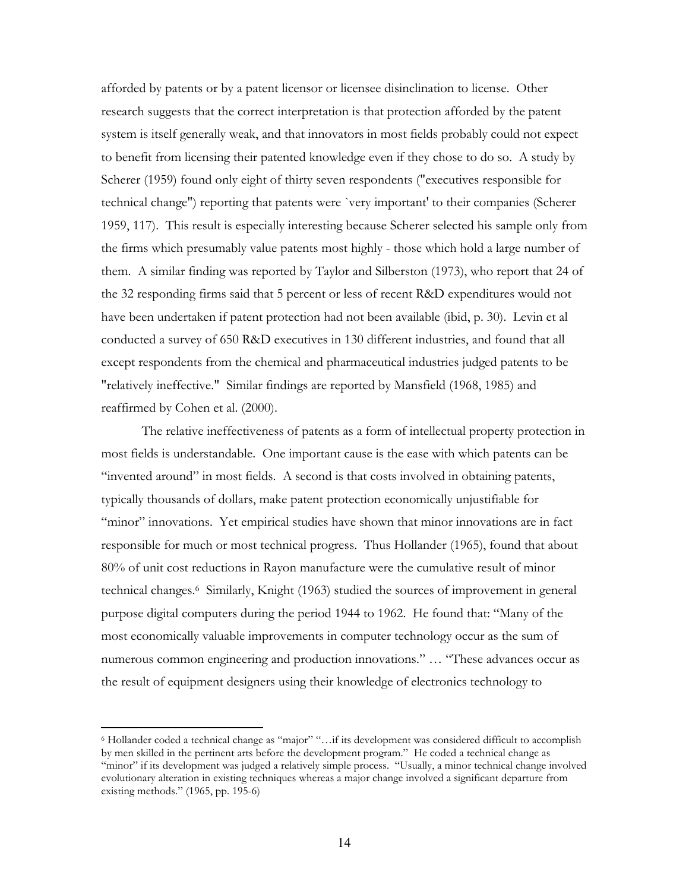afforded by patents or by a patent licensor or licensee disinclination to license. Other research suggests that the correct interpretation is that protection afforded by the patent system is itself generally weak, and that innovators in most fields probably could not expect to benefit from licensing their patented knowledge even if they chose to do so. A study by Scherer (1959) found only eight of thirty seven respondents ("executives responsible for technical change") reporting that patents were `very important' to their companies (Scherer 1959, 117). This result is especially interesting because Scherer selected his sample only from the firms which presumably value patents most highly - those which hold a large number of them. A similar finding was reported by Taylor and Silberston (1973), who report that 24 of the 32 responding firms said that 5 percent or less of recent R&D expenditures would not have been undertaken if patent protection had not been available (ibid, p. 30). Levin et al conducted a survey of 650 R&D executives in 130 different industries, and found that all except respondents from the chemical and pharmaceutical industries judged patents to be "relatively ineffective." Similar findings are reported by Mansfield (1968, 1985) and reaffirmed by Cohen et al. (2000).

The relative ineffectiveness of patents as a form of intellectual property protection in most fields is understandable. One important cause is the ease with which patents can be "invented around" in most fields. A second is that costs involved in obtaining patents, typically thousands of dollars, make patent protection economically unjustifiable for "minor" innovations. Yet empirical studies have shown that minor innovations are in fact responsible for much or most technical progress. Thus Hollander (1965), found that about 80% of unit cost reductions in Rayon manufacture were the cumulative result of minor technical changes.[6](#page-13-0) Similarly, Knight (1963) studied the sources of improvement in general purpose digital computers during the period 1944 to 1962. He found that: "Many of the most economically valuable improvements in computer technology occur as the sum of numerous common engineering and production innovations." … "These advances occur as the result of equipment designers using their knowledge of electronics technology to

<span id="page-13-0"></span><sup>6</sup> Hollander coded a technical change as "major" "…if its development was considered difficult to accomplish by men skilled in the pertinent arts before the development program." He coded a technical change as "minor" if its development was judged a relatively simple process. "Usually, a minor technical change involved evolutionary alteration in existing techniques whereas a major change involved a significant departure from existing methods." (1965, pp. 195-6)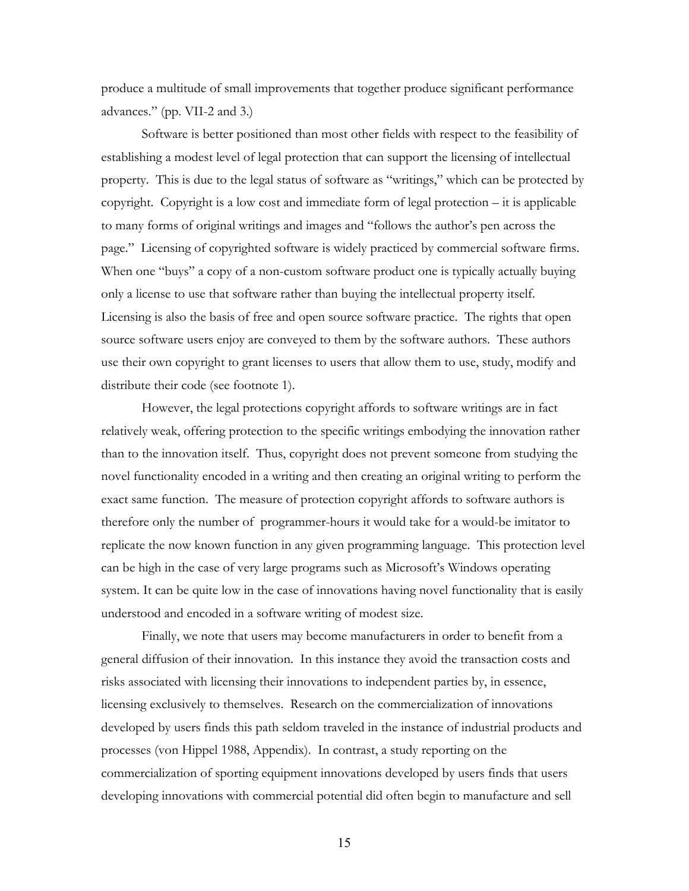produce a multitude of small improvements that together produce significant performance advances." (pp. VII-2 and 3.)

Software is better positioned than most other fields with respect to the feasibility of establishing a modest level of legal protection that can support the licensing of intellectual property. This is due to the legal status of software as "writings," which can be protected by copyright. Copyright is a low cost and immediate form of legal protection – it is applicable to many forms of original writings and images and "follows the author's pen across the page." Licensing of copyrighted software is widely practiced by commercial software firms. When one "buys" a copy of a non-custom software product one is typically actually buying only a license to use that software rather than buying the intellectual property itself. Licensing is also the basis of free and open source software practice. The rights that open source software users enjoy are conveyed to them by the software authors. These authors use their own copyright to grant licenses to users that allow them to use, study, modify and distribute their code (see footnote 1).

However, the legal protections copyright affords to software writings are in fact relatively weak, offering protection to the specific writings embodying the innovation rather than to the innovation itself. Thus, copyright does not prevent someone from studying the novel functionality encoded in a writing and then creating an original writing to perform the exact same function. The measure of protection copyright affords to software authors is therefore only the number of programmer-hours it would take for a would-be imitator to replicate the now known function in any given programming language. This protection level can be high in the case of very large programs such as Microsoft's Windows operating system. It can be quite low in the case of innovations having novel functionality that is easily understood and encoded in a software writing of modest size.

Finally, we note that users may become manufacturers in order to benefit from a general diffusion of their innovation. In this instance they avoid the transaction costs and risks associated with licensing their innovations to independent parties by, in essence, licensing exclusively to themselves. Research on the commercialization of innovations developed by users finds this path seldom traveled in the instance of industrial products and processes (von Hippel 1988, Appendix). In contrast, a study reporting on the commercialization of sporting equipment innovations developed by users finds that users developing innovations with commercial potential did often begin to manufacture and sell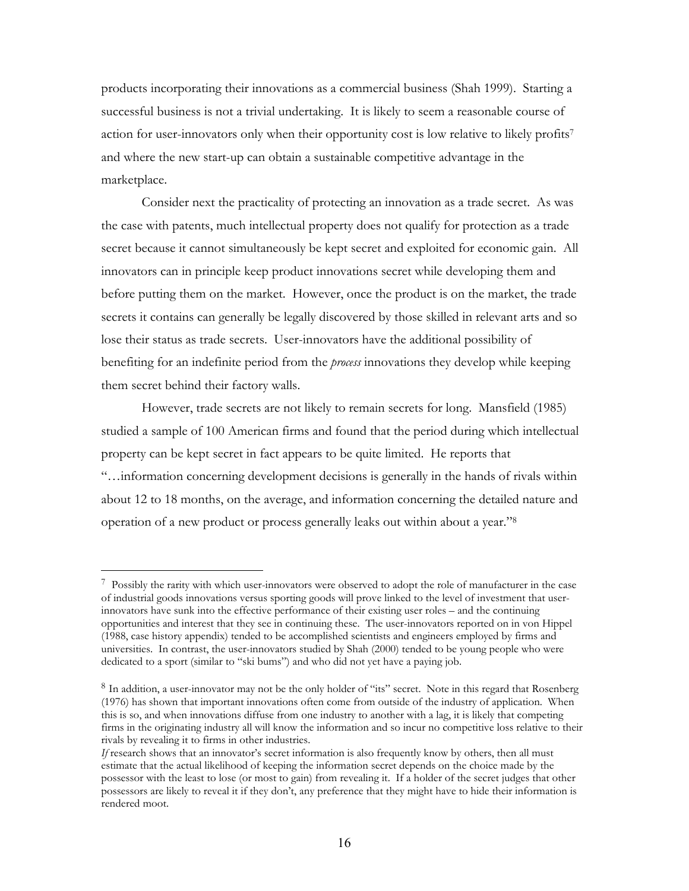products incorporating their innovations as a commercial business (Shah 1999). Starting a successful business is not a trivial undertaking. It is likely to seem a reasonable course of action for user-innovators only when their opportunity cost is low relative to likely profits[7](#page-15-0) and where the new start-up can obtain a sustainable competitive advantage in the marketplace.

Consider next the practicality of protecting an innovation as a trade secret. As was the case with patents, much intellectual property does not qualify for protection as a trade secret because it cannot simultaneously be kept secret and exploited for economic gain. All innovators can in principle keep product innovations secret while developing them and before putting them on the market. However, once the product is on the market, the trade secrets it contains can generally be legally discovered by those skilled in relevant arts and so lose their status as trade secrets. User-innovators have the additional possibility of benefiting for an indefinite period from the *process* innovations they develop while keeping them secret behind their factory walls.

However, trade secrets are not likely to remain secrets for long. Mansfield (1985) studied a sample of 100 American firms and found that the period during which intellectual property can be kept secret in fact appears to be quite limited. He reports that "…information concerning development decisions is generally in the hands of rivals within about 12 to 18 months, on the average, and information concerning the detailed nature and operation of a new product or process generally leaks out within about a year."[8](#page-15-1) 

<span id="page-15-0"></span> $7$  Possibly the rarity with which user-innovators were observed to adopt the role of manufacturer in the case of industrial goods innovations versus sporting goods will prove linked to the level of investment that userinnovators have sunk into the effective performance of their existing user roles – and the continuing opportunities and interest that they see in continuing these. The user-innovators reported on in von Hippel (1988, case history appendix) tended to be accomplished scientists and engineers employed by firms and universities. In contrast, the user-innovators studied by Shah (2000) tended to be young people who were dedicated to a sport (similar to "ski bums") and who did not yet have a paying job.

<span id="page-15-1"></span><sup>8</sup> In addition, a user-innovator may not be the only holder of "its" secret. Note in this regard that Rosenberg (1976) has shown that important innovations often come from outside of the industry of application. When this is so, and when innovations diffuse from one industry to another with a lag, it is likely that competing firms in the originating industry all will know the information and so incur no competitive loss relative to their rivals by revealing it to firms in other industries.

*If* research shows that an innovator's secret information is also frequently know by others, then all must estimate that the actual likelihood of keeping the information secret depends on the choice made by the possessor with the least to lose (or most to gain) from revealing it. If a holder of the secret judges that other possessors are likely to reveal it if they don't, any preference that they might have to hide their information is rendered moot.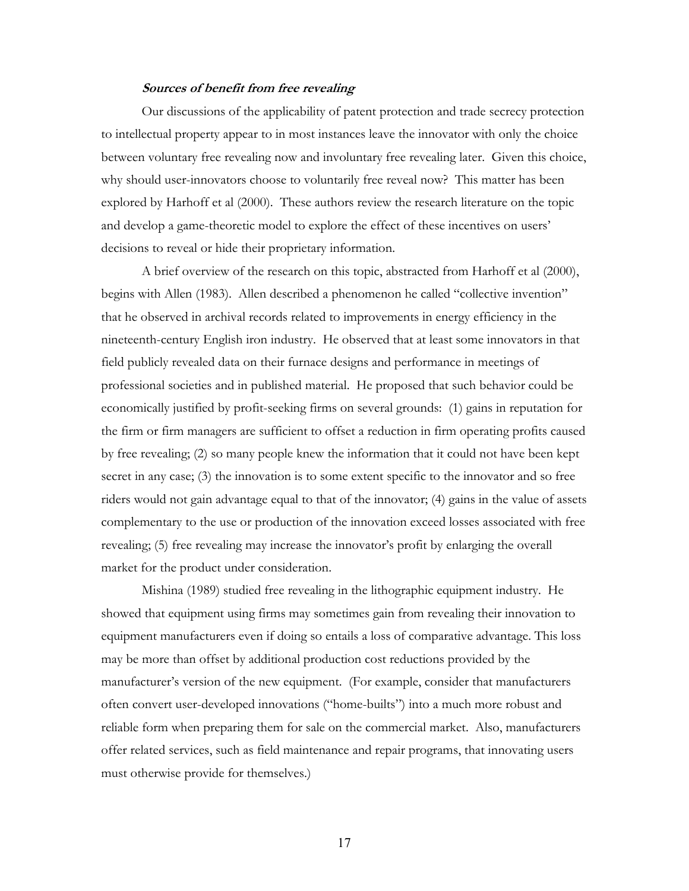# **Sources of benefit from free revealing**

Our discussions of the applicability of patent protection and trade secrecy protection to intellectual property appear to in most instances leave the innovator with only the choice between voluntary free revealing now and involuntary free revealing later. Given this choice, why should user-innovators choose to voluntarily free reveal now? This matter has been explored by Harhoff et al (2000). These authors review the research literature on the topic and develop a game-theoretic model to explore the effect of these incentives on users' decisions to reveal or hide their proprietary information.

A brief overview of the research on this topic, abstracted from Harhoff et al (2000), begins with Allen (1983). Allen described a phenomenon he called "collective invention" that he observed in archival records related to improvements in energy efficiency in the nineteenth-century English iron industry. He observed that at least some innovators in that field publicly revealed data on their furnace designs and performance in meetings of professional societies and in published material. He proposed that such behavior could be economically justified by profit-seeking firms on several grounds: (1) gains in reputation for the firm or firm managers are sufficient to offset a reduction in firm operating profits caused by free revealing; (2) so many people knew the information that it could not have been kept secret in any case; (3) the innovation is to some extent specific to the innovator and so free riders would not gain advantage equal to that of the innovator; (4) gains in the value of assets complementary to the use or production of the innovation exceed losses associated with free revealing; (5) free revealing may increase the innovator's profit by enlarging the overall market for the product under consideration.

Mishina (1989) studied free revealing in the lithographic equipment industry. He showed that equipment using firms may sometimes gain from revealing their innovation to equipment manufacturers even if doing so entails a loss of comparative advantage. This loss may be more than offset by additional production cost reductions provided by the manufacturer's version of the new equipment. (For example, consider that manufacturers often convert user-developed innovations ("home-builts") into a much more robust and reliable form when preparing them for sale on the commercial market. Also, manufacturers offer related services, such as field maintenance and repair programs, that innovating users must otherwise provide for themselves.)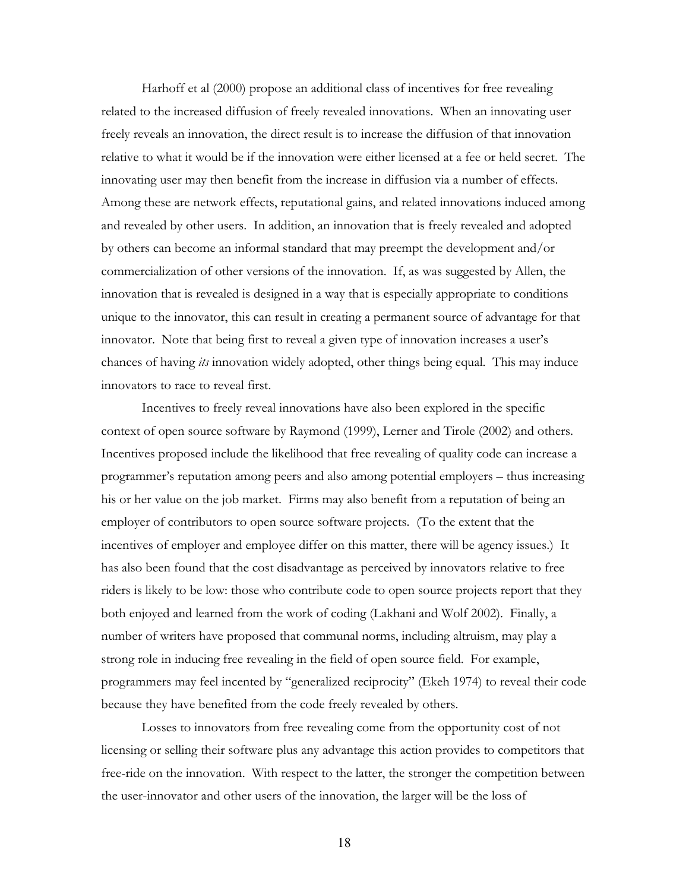Harhoff et al (2000) propose an additional class of incentives for free revealing related to the increased diffusion of freely revealed innovations. When an innovating user freely reveals an innovation, the direct result is to increase the diffusion of that innovation relative to what it would be if the innovation were either licensed at a fee or held secret. The innovating user may then benefit from the increase in diffusion via a number of effects. Among these are network effects, reputational gains, and related innovations induced among and revealed by other users. In addition, an innovation that is freely revealed and adopted by others can become an informal standard that may preempt the development and/or commercialization of other versions of the innovation. If, as was suggested by Allen, the innovation that is revealed is designed in a way that is especially appropriate to conditions unique to the innovator, this can result in creating a permanent source of advantage for that innovator. Note that being first to reveal a given type of innovation increases a user's chances of having *its* innovation widely adopted, other things being equal. This may induce innovators to race to reveal first.

Incentives to freely reveal innovations have also been explored in the specific context of open source software by Raymond (1999), Lerner and Tirole (2002) and others. Incentives proposed include the likelihood that free revealing of quality code can increase a programmer's reputation among peers and also among potential employers – thus increasing his or her value on the job market. Firms may also benefit from a reputation of being an employer of contributors to open source software projects. (To the extent that the incentives of employer and employee differ on this matter, there will be agency issues.) It has also been found that the cost disadvantage as perceived by innovators relative to free riders is likely to be low: those who contribute code to open source projects report that they both enjoyed and learned from the work of coding (Lakhani and Wolf 2002). Finally, a number of writers have proposed that communal norms, including altruism, may play a strong role in inducing free revealing in the field of open source field. For example, programmers may feel incented by "generalized reciprocity" (Ekeh 1974) to reveal their code because they have benefited from the code freely revealed by others.

Losses to innovators from free revealing come from the opportunity cost of not licensing or selling their software plus any advantage this action provides to competitors that free-ride on the innovation. With respect to the latter, the stronger the competition between the user-innovator and other users of the innovation, the larger will be the loss of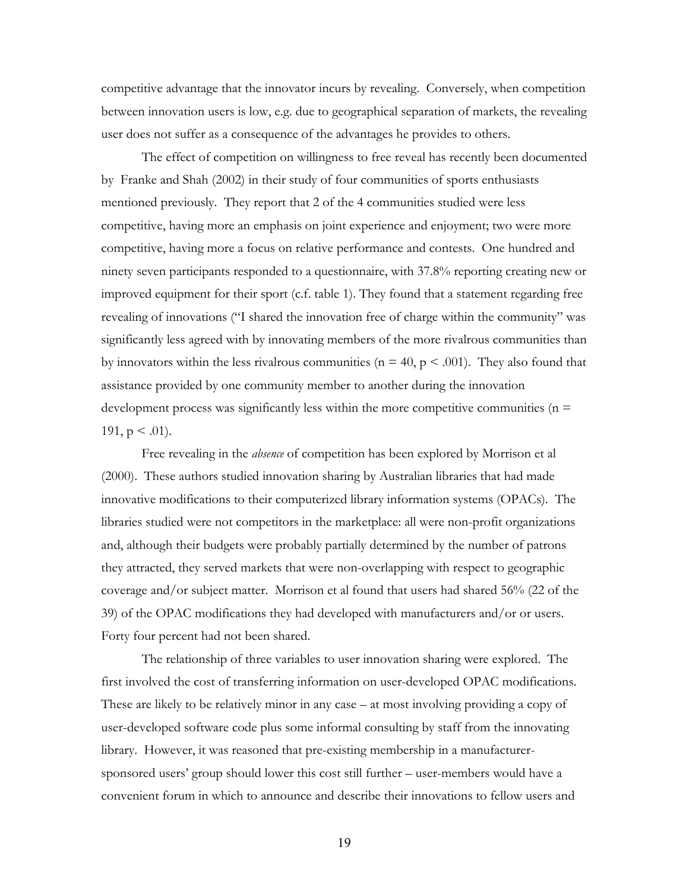competitive advantage that the innovator incurs by revealing. Conversely, when competition between innovation users is low, e.g. due to geographical separation of markets, the revealing user does not suffer as a consequence of the advantages he provides to others.

The effect of competition on willingness to free reveal has recently been documented by Franke and Shah (2002) in their study of four communities of sports enthusiasts mentioned previously. They report that 2 of the 4 communities studied were less competitive, having more an emphasis on joint experience and enjoyment; two were more competitive, having more a focus on relative performance and contests. One hundred and ninety seven participants responded to a questionnaire, with 37.8% reporting creating new or improved equipment for their sport (c.f. table 1). They found that a statement regarding free revealing of innovations ("I shared the innovation free of charge within the community" was significantly less agreed with by innovating members of the more rivalrous communities than by innovators within the less rivalrous communities ( $n = 40$ ,  $p < .001$ ). They also found that assistance provided by one community member to another during the innovation development process was significantly less within the more competitive communities ( $n =$ 191,  $p < .01$ ).

Free revealing in the *absence* of competition has been explored by Morrison et al (2000). These authors studied innovation sharing by Australian libraries that had made innovative modifications to their computerized library information systems (OPACs). The libraries studied were not competitors in the marketplace: all were non-profit organizations and, although their budgets were probably partially determined by the number of patrons they attracted, they served markets that were non-overlapping with respect to geographic coverage and/or subject matter. Morrison et al found that users had shared 56% (22 of the 39) of the OPAC modifications they had developed with manufacturers and/or or users. Forty four percent had not been shared.

The relationship of three variables to user innovation sharing were explored. The first involved the cost of transferring information on user-developed OPAC modifications. These are likely to be relatively minor in any case – at most involving providing a copy of user-developed software code plus some informal consulting by staff from the innovating library. However, it was reasoned that pre-existing membership in a manufacturersponsored users' group should lower this cost still further – user-members would have a convenient forum in which to announce and describe their innovations to fellow users and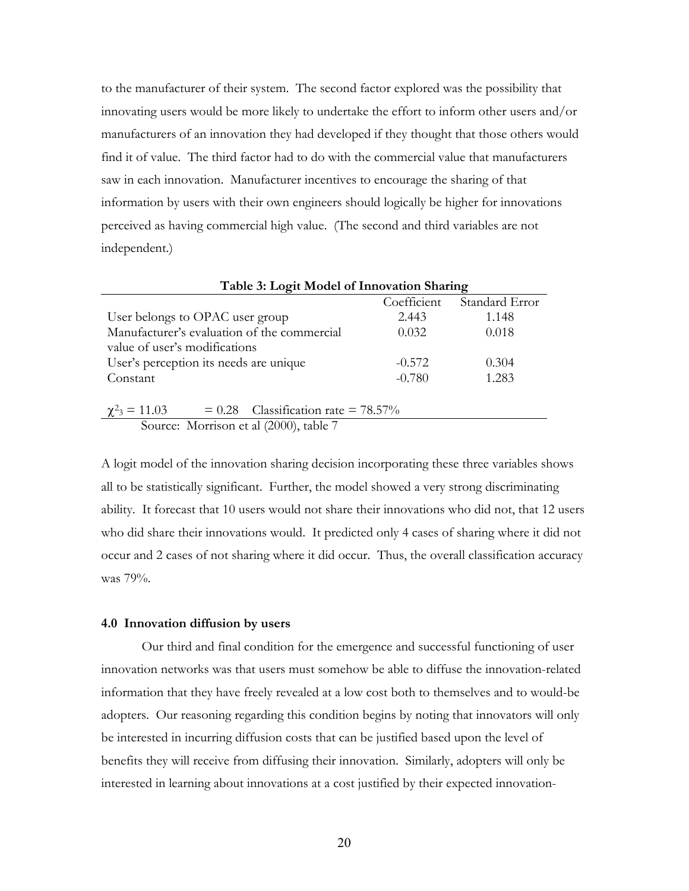to the manufacturer of their system. The second factor explored was the possibility that innovating users would be more likely to undertake the effort to inform other users and/or manufacturers of an innovation they had developed if they thought that those others would find it of value. The third factor had to do with the commercial value that manufacturers saw in each innovation. Manufacturer incentives to encourage the sharing of that information by users with their own engineers should logically be higher for innovations perceived as having commercial high value. (The second and third variables are not independent.)

| Table 3: Logit Model of Innovation Sharing                       |             |                |  |  |  |
|------------------------------------------------------------------|-------------|----------------|--|--|--|
|                                                                  | Coefficient | Standard Error |  |  |  |
| User belongs to OPAC user group                                  | 2.443       | 1.148          |  |  |  |
| Manufacturer's evaluation of the commercial                      | 0.032       | 0.018          |  |  |  |
| value of user's modifications                                    |             |                |  |  |  |
| User's perception its needs are unique                           | $-0.572$    | 0.304          |  |  |  |
| Constant                                                         | $-0.780$    | 1.283          |  |  |  |
|                                                                  |             |                |  |  |  |
| $= 0.28$ Classification rate $= 78.57\%$<br>$\chi^2_{3} = 11.03$ |             |                |  |  |  |
| Source: Morrison et al (2000), table 7                           |             |                |  |  |  |

A logit model of the innovation sharing decision incorporating these three variables shows all to be statistically significant. Further, the model showed a very strong discriminating ability. It forecast that 10 users would not share their innovations who did not, that 12 users who did share their innovations would. It predicted only 4 cases of sharing where it did not occur and 2 cases of not sharing where it did occur. Thus, the overall classification accuracy was 79%.

## **4.0 Innovation diffusion by users**

Our third and final condition for the emergence and successful functioning of user innovation networks was that users must somehow be able to diffuse the innovation-related information that they have freely revealed at a low cost both to themselves and to would-be adopters. Our reasoning regarding this condition begins by noting that innovators will only be interested in incurring diffusion costs that can be justified based upon the level of benefits they will receive from diffusing their innovation. Similarly, adopters will only be interested in learning about innovations at a cost justified by their expected innovation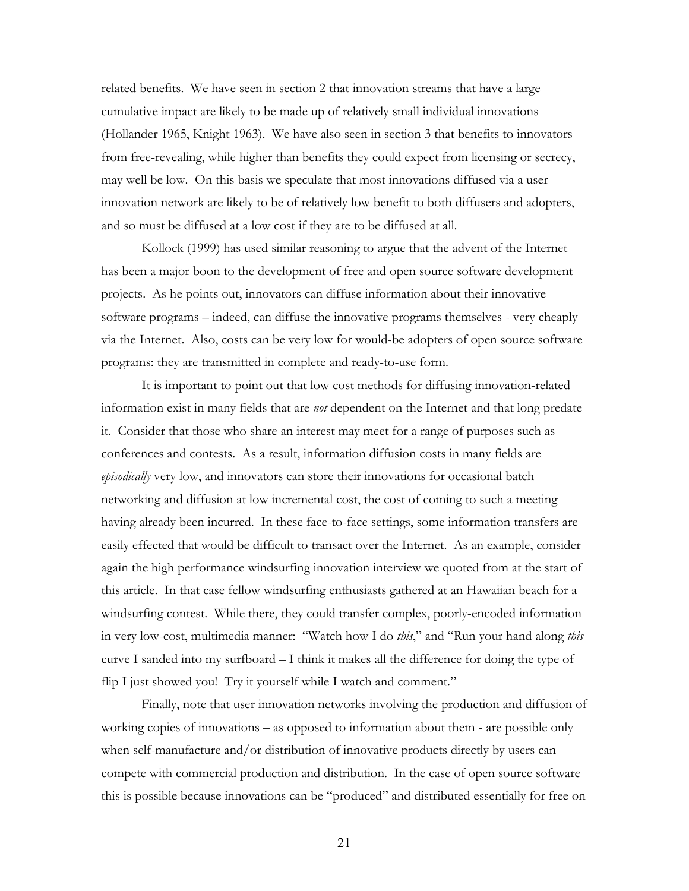related benefits. We have seen in section 2 that innovation streams that have a large cumulative impact are likely to be made up of relatively small individual innovations (Hollander 1965, Knight 1963). We have also seen in section 3 that benefits to innovators from free-revealing, while higher than benefits they could expect from licensing or secrecy, may well be low. On this basis we speculate that most innovations diffused via a user innovation network are likely to be of relatively low benefit to both diffusers and adopters, and so must be diffused at a low cost if they are to be diffused at all.

Kollock (1999) has used similar reasoning to argue that the advent of the Internet has been a major boon to the development of free and open source software development projects. As he points out, innovators can diffuse information about their innovative software programs – indeed, can diffuse the innovative programs themselves - very cheaply via the Internet. Also, costs can be very low for would-be adopters of open source software programs: they are transmitted in complete and ready-to-use form.

It is important to point out that low cost methods for diffusing innovation-related information exist in many fields that are *not* dependent on the Internet and that long predate it. Consider that those who share an interest may meet for a range of purposes such as conferences and contests. As a result, information diffusion costs in many fields are *episodically* very low, and innovators can store their innovations for occasional batch networking and diffusion at low incremental cost, the cost of coming to such a meeting having already been incurred. In these face-to-face settings, some information transfers are easily effected that would be difficult to transact over the Internet. As an example, consider again the high performance windsurfing innovation interview we quoted from at the start of this article. In that case fellow windsurfing enthusiasts gathered at an Hawaiian beach for a windsurfing contest. While there, they could transfer complex, poorly-encoded information in very low-cost, multimedia manner: "Watch how I do *this*," and "Run your hand along *this* curve I sanded into my surfboard – I think it makes all the difference for doing the type of flip I just showed you! Try it yourself while I watch and comment."

Finally, note that user innovation networks involving the production and diffusion of working copies of innovations – as opposed to information about them - are possible only when self-manufacture and/or distribution of innovative products directly by users can compete with commercial production and distribution. In the case of open source software this is possible because innovations can be "produced" and distributed essentially for free on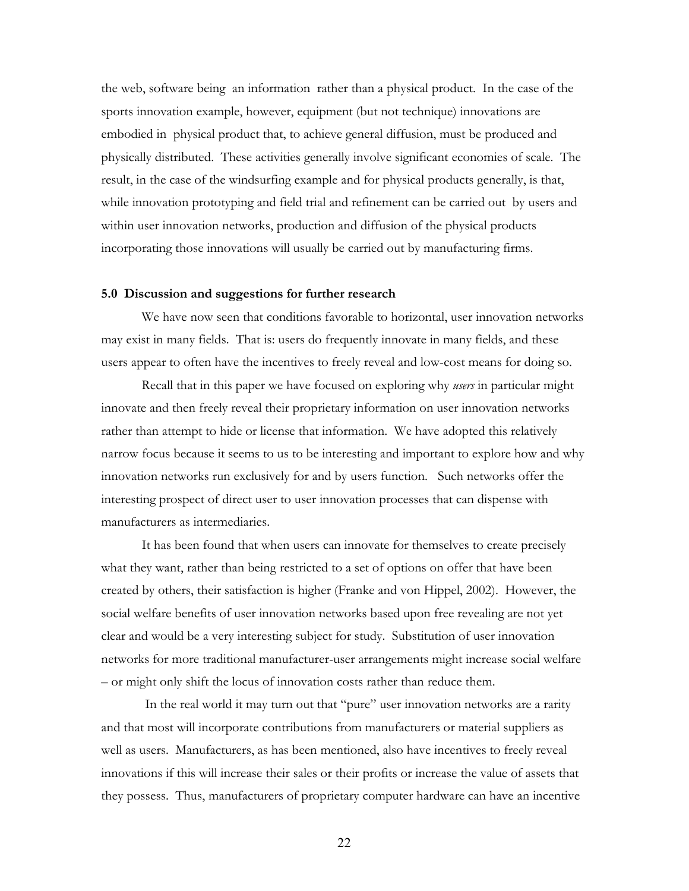the web, software being an information rather than a physical product. In the case of the sports innovation example, however, equipment (but not technique) innovations are embodied in physical product that, to achieve general diffusion, must be produced and physically distributed. These activities generally involve significant economies of scale. The result, in the case of the windsurfing example and for physical products generally, is that, while innovation prototyping and field trial and refinement can be carried out by users and within user innovation networks, production and diffusion of the physical products incorporating those innovations will usually be carried out by manufacturing firms.

# **5.0 Discussion and suggestions for further research**

We have now seen that conditions favorable to horizontal, user innovation networks may exist in many fields. That is: users do frequently innovate in many fields, and these users appear to often have the incentives to freely reveal and low-cost means for doing so.

Recall that in this paper we have focused on exploring why *users* in particular might innovate and then freely reveal their proprietary information on user innovation networks rather than attempt to hide or license that information. We have adopted this relatively narrow focus because it seems to us to be interesting and important to explore how and why innovation networks run exclusively for and by users function. Such networks offer the interesting prospect of direct user to user innovation processes that can dispense with manufacturers as intermediaries.

It has been found that when users can innovate for themselves to create precisely what they want, rather than being restricted to a set of options on offer that have been created by others, their satisfaction is higher (Franke and von Hippel, 2002). However, the social welfare benefits of user innovation networks based upon free revealing are not yet clear and would be a very interesting subject for study. Substitution of user innovation networks for more traditional manufacturer-user arrangements might increase social welfare – or might only shift the locus of innovation costs rather than reduce them.

 In the real world it may turn out that "pure" user innovation networks are a rarity and that most will incorporate contributions from manufacturers or material suppliers as well as users. Manufacturers, as has been mentioned, also have incentives to freely reveal innovations if this will increase their sales or their profits or increase the value of assets that they possess. Thus, manufacturers of proprietary computer hardware can have an incentive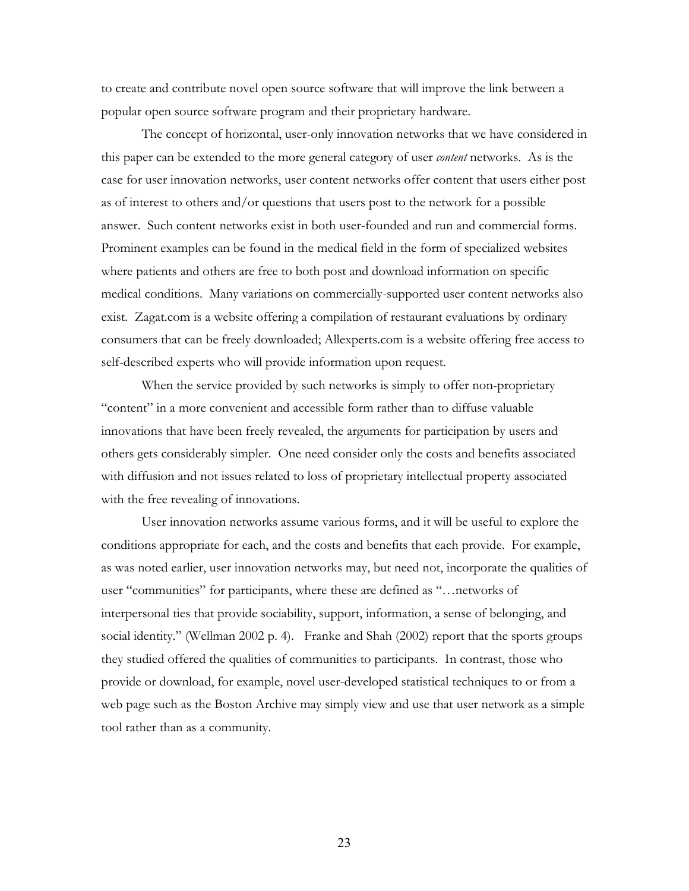to create and contribute novel open source software that will improve the link between a popular open source software program and their proprietary hardware.

The concept of horizontal, user-only innovation networks that we have considered in this paper can be extended to the more general category of user *content* networks. As is the case for user innovation networks, user content networks offer content that users either post as of interest to others and/or questions that users post to the network for a possible answer. Such content networks exist in both user-founded and run and commercial forms. Prominent examples can be found in the medical field in the form of specialized websites where patients and others are free to both post and download information on specific medical conditions. Many variations on commercially-supported user content networks also exist. Zagat.com is a website offering a compilation of restaurant evaluations by ordinary consumers that can be freely downloaded; Allexperts.com is a website offering free access to self-described experts who will provide information upon request.

When the service provided by such networks is simply to offer non-proprietary "content" in a more convenient and accessible form rather than to diffuse valuable innovations that have been freely revealed, the arguments for participation by users and others gets considerably simpler. One need consider only the costs and benefits associated with diffusion and not issues related to loss of proprietary intellectual property associated with the free revealing of innovations.

User innovation networks assume various forms, and it will be useful to explore the conditions appropriate for each, and the costs and benefits that each provide. For example, as was noted earlier, user innovation networks may, but need not, incorporate the qualities of user "communities" for participants, where these are defined as "…networks of interpersonal ties that provide sociability, support, information, a sense of belonging, and social identity." (Wellman 2002 p. 4). Franke and Shah (2002) report that the sports groups they studied offered the qualities of communities to participants. In contrast, those who provide or download, for example, novel user-developed statistical techniques to or from a web page such as the Boston Archive may simply view and use that user network as a simple tool rather than as a community.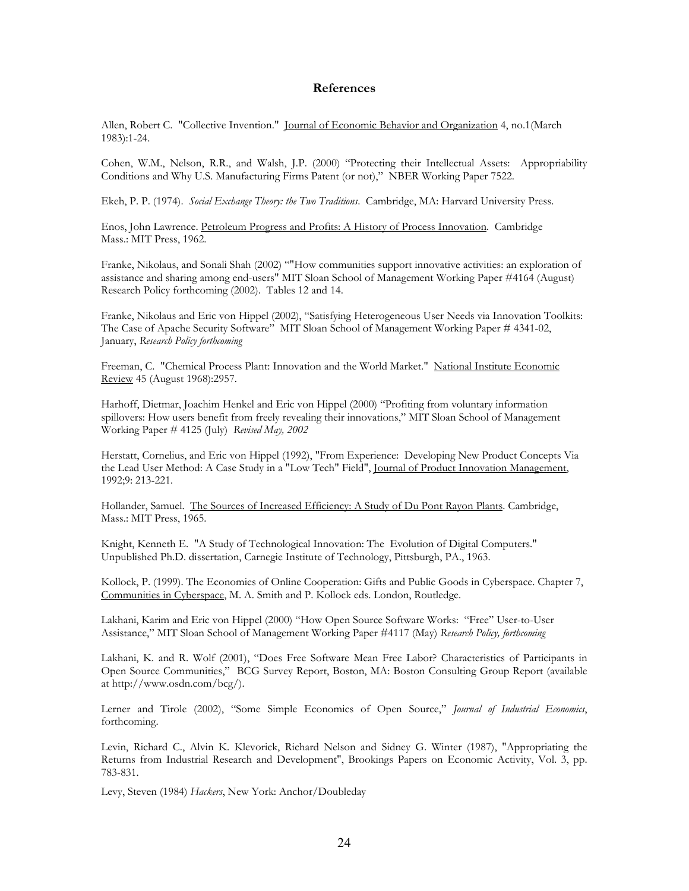#### **References**

Allen, Robert C. "Collective Invention." Journal of Economic Behavior and Organization 4, no.1(March 1983):1-24.

Cohen, W.M., Nelson, R.R., and Walsh, J.P. (2000) "Protecting their Intellectual Assets: Appropriability Conditions and Why U.S. Manufacturing Firms Patent (or not)," NBER Working Paper 7522.

Ekeh, P. P. (1974). *Social Exchange Theory: the Two Traditions*. Cambridge, MA: Harvard University Press.

Enos, John Lawrence. Petroleum Progress and Profits: A History of Process Innovation. Cambridge Mass.: MIT Press, 1962.

Franke, Nikolaus, and Sonali Shah (2002) ""How communities support innovative activities: an exploration of assistance and sharing among end-users" MIT Sloan School of Management Working Paper #4164 (August) Research Policy forthcoming (2002). Tables 12 and 14.

Franke, Nikolaus and Eric von Hippel (2002), "Satisfying Heterogeneous User Needs via Innovation Toolkits: The Case of Apache Security Software" MIT Sloan School of Management Working Paper # 4341-02, January, *Research Policy forthcoming*

Freeman, C. "Chemical Process Plant: Innovation and the World Market." National Institute Economic Review 45 (August 1968):2957.

Harhoff, Dietmar, Joachim Henkel and Eric von Hippel (2000) "Profiting from voluntary information spillovers: How users benefit from freely revealing their innovations," MIT Sloan School of Management Working Paper # 4125 (July) *Revised May, 2002*

Herstatt, Cornelius, and Eric von Hippel (1992), "From Experience: Developing New Product Concepts Via the Lead User Method: A Case Study in a "Low Tech" Field", Journal of Product Innovation Management, 1992;9: 213-221.

Hollander, Samuel. The Sources of Increased Efficiency: A Study of Du Pont Rayon Plants. Cambridge, Mass.: MIT Press, 1965.

Knight, Kenneth E. "A Study of Technological Innovation: The Evolution of Digital Computers." Unpublished Ph.D. dissertation, Carnegie Institute of Technology, Pittsburgh, PA., 1963.

Kollock, P. (1999). The Economies of Online Cooperation: Gifts and Public Goods in Cyberspace. Chapter 7, Communities in Cyberspace, M. A. Smith and P. Kollock eds. London, Routledge.

Lakhani, Karim and Eric von Hippel (2000) "How Open Source Software Works: "Free" User-to-User Assistance," MIT Sloan School of Management Working Paper #4117 (May) *Research Policy, forthcoming*

Lakhani, K. and R. Wolf (2001), "Does Free Software Mean Free Labor? Characteristics of Participants in Open Source Communities," BCG Survey Report, Boston, MA: Boston Consulting Group Report (available at http://www.osdn.com/bcg/).

Lerner and Tirole (2002), "Some Simple Economics of Open Source," *Journal of Industrial Economics*, forthcoming.

Levin, Richard C., Alvin K. Klevorick, Richard Nelson and Sidney G. Winter (1987), "Appropriating the Returns from Industrial Research and Development", Brookings Papers on Economic Activity, Vol. 3, pp. 783-831.

Levy, Steven (1984) *Hackers*, New York: Anchor/Doubleday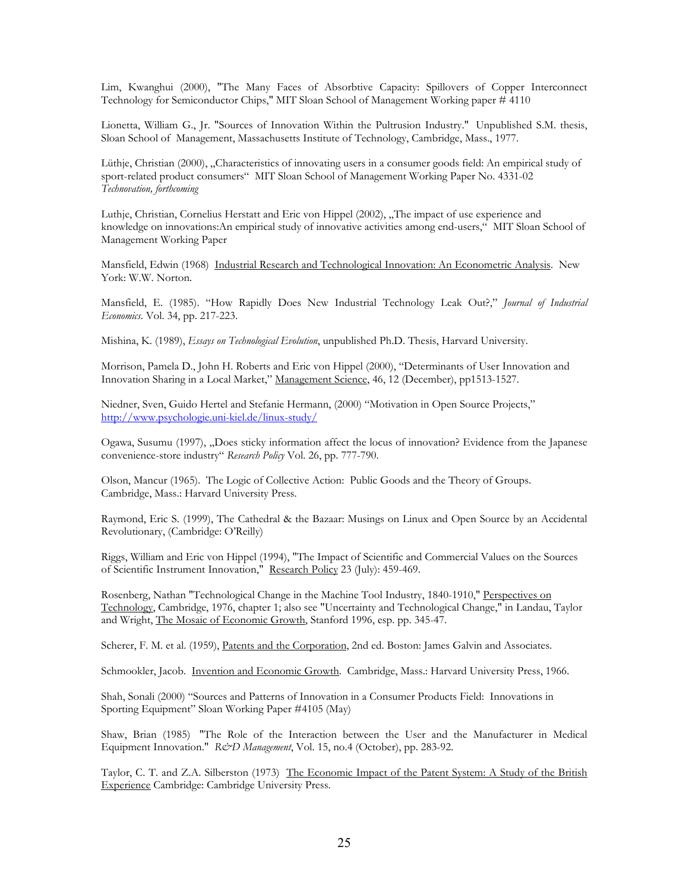Lim, Kwanghui (2000), "The Many Faces of Absorbtive Capacity: Spillovers of Copper Interconnect Technology for Semiconductor Chips," MIT Sloan School of Management Working paper # 4110

Lionetta, William G., Jr. "Sources of Innovation Within the Pultrusion Industry." Unpublished S.M. thesis, Sloan School of Management, Massachusetts Institute of Technology, Cambridge, Mass., 1977.

Lüthje, Christian (2000), "Characteristics of innovating users in a consumer goods field: An empirical study of sport-related product consumers" MIT Sloan School of Management Working Paper No. 4331-02 *Technovation, forthcoming* 

Luthje, Christian, Cornelius Herstatt and Eric von Hippel (2002), "The impact of use experience and knowledge on innovations:An empirical study of innovative activities among end-users," MIT Sloan School of Management Working Paper

Mansfield, Edwin (1968) Industrial Research and Technological Innovation: An Econometric Analysis. New York: W.W. Norton.

Mansfield, E. (1985). "How Rapidly Does New Industrial Technology Leak Out?," *Journal of Industrial Economics*. Vol. 34, pp. 217-223.

Mishina, K. (1989), *Essays on Technological Evolution*, unpublished Ph.D. Thesis, Harvard University.

Morrison, Pamela D., John H. Roberts and Eric von Hippel (2000), "Determinants of User Innovation and Innovation Sharing in a Local Market," Management Science, 46, 12 (December), pp1513-1527.

Niedner, Sven, Guido Hertel and Stefanie Hermann, (2000) "Motivation in Open Source Projects," <http://www.psychologie.uni-kiel.de/linux-study/>

Ogawa, Susumu (1997), "Does sticky information affect the locus of innovation? Evidence from the Japanese convenience-store industry" *Research Policy* Vol. 26, pp. 777-790.

Olson, Mancur (1965). The Logic of Collective Action: Public Goods and the Theory of Groups. Cambridge, Mass.: Harvard University Press.

Raymond, Eric S. (1999), The Cathedral & the Bazaar: Musings on Linux and Open Source by an Accidental Revolutionary, (Cambridge: O'Reilly)

Riggs, William and Eric von Hippel (1994), "The Impact of Scientific and Commercial Values on the Sources of Scientific Instrument Innovation," Research Policy 23 (July): 459-469.

Rosenberg, Nathan "Technological Change in the Machine Tool Industry, 1840-1910," Perspectives on Technology, Cambridge, 1976, chapter 1; also see "Uncertainty and Technological Change," in Landau, Taylor and Wright, The Mosaic of Economic Growth, Stanford 1996, esp. pp. 345-47.

Scherer, F. M. et al. (1959), Patents and the Corporation, 2nd ed. Boston: James Galvin and Associates.

Schmookler, Jacob. Invention and Economic Growth. Cambridge, Mass.: Harvard University Press, 1966.

Shah, Sonali (2000) "Sources and Patterns of Innovation in a Consumer Products Field: Innovations in Sporting Equipment" Sloan Working Paper #4105 (May)

Shaw, Brian (1985) "The Role of the Interaction between the User and the Manufacturer in Medical Equipment Innovation." *R&D Management*, Vol. 15, no.4 (October), pp. 283-92.

Taylor, C. T. and Z.A. Silberston (1973) The Economic Impact of the Patent System: A Study of the British Experience Cambridge: Cambridge University Press.